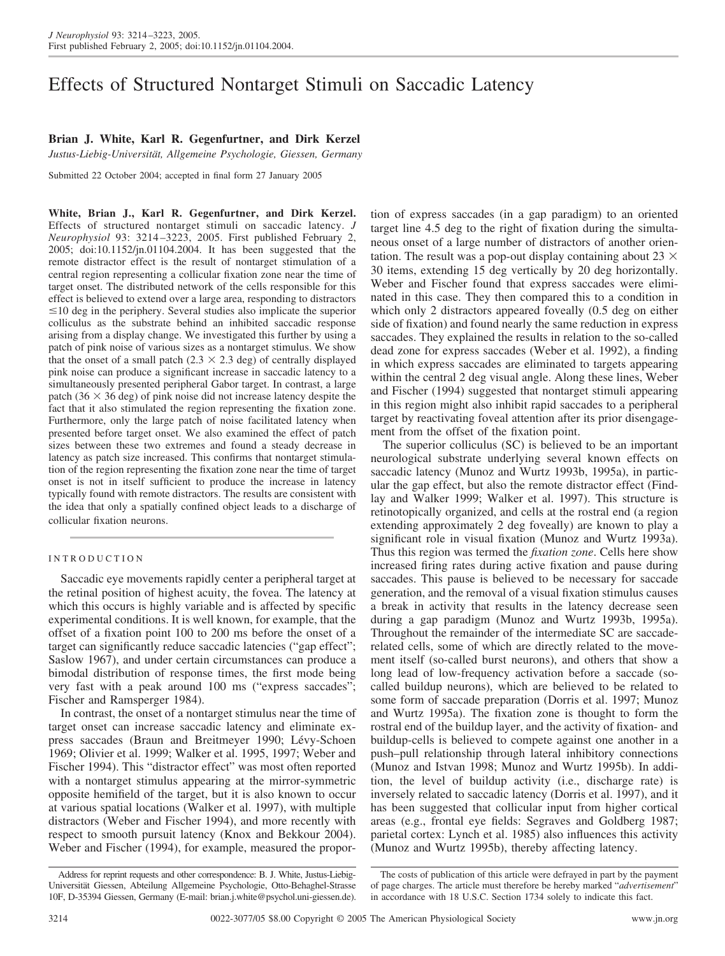# Effects of Structured Nontarget Stimuli on Saccadic Latency

## **Brian J. White, Karl R. Gegenfurtner, and Dirk Kerzel**

*Justus-Liebig-Universita¨t, Allgemeine Psychologie, Giessen, Germany*

Submitted 22 October 2004; accepted in final form 27 January 2005

**White, Brian J., Karl R. Gegenfurtner, and Dirk Kerzel.** Effects of structured nontarget stimuli on saccadic latency. *J Neurophysiol* 93: 3214 –3223, 2005. First published February 2, 2005; doi:10.1152/jn.01104.2004. It has been suggested that the remote distractor effect is the result of nontarget stimulation of a central region representing a collicular fixation zone near the time of target onset. The distributed network of the cells responsible for this effect is believed to extend over a large area, responding to distractors  $\leq$ 10 deg in the periphery. Several studies also implicate the superior colliculus as the substrate behind an inhibited saccadic response arising from a display change. We investigated this further by using a patch of pink noise of various sizes as a nontarget stimulus. We show that the onset of a small patch  $(2.3 \times 2.3$  deg) of centrally displayed pink noise can produce a significant increase in saccadic latency to a simultaneously presented peripheral Gabor target. In contrast, a large patch (36  $\times$  36 deg) of pink noise did not increase latency despite the fact that it also stimulated the region representing the fixation zone. Furthermore, only the large patch of noise facilitated latency when presented before target onset. We also examined the effect of patch sizes between these two extremes and found a steady decrease in latency as patch size increased. This confirms that nontarget stimulation of the region representing the fixation zone near the time of target onset is not in itself sufficient to produce the increase in latency typically found with remote distractors. The results are consistent with the idea that only a spatially confined object leads to a discharge of collicular fixation neurons.

## INTRODUCTION

Saccadic eye movements rapidly center a peripheral target at the retinal position of highest acuity, the fovea. The latency at which this occurs is highly variable and is affected by specific experimental conditions. It is well known, for example, that the offset of a fixation point 100 to 200 ms before the onset of a target can significantly reduce saccadic latencies ("gap effect"; Saslow 1967), and under certain circumstances can produce a bimodal distribution of response times, the first mode being very fast with a peak around 100 ms ("express saccades"; Fischer and Ramsperger 1984).

In contrast, the onset of a nontarget stimulus near the time of target onset can increase saccadic latency and eliminate express saccades (Braun and Breitmeyer 1990; Lévy-Schoen 1969; Olivier et al. 1999; Walker et al. 1995, 1997; Weber and Fischer 1994). This "distractor effect" was most often reported with a nontarget stimulus appearing at the mirror-symmetric opposite hemifield of the target, but it is also known to occur at various spatial locations (Walker et al. 1997), with multiple distractors (Weber and Fischer 1994), and more recently with respect to smooth pursuit latency (Knox and Bekkour 2004). Weber and Fischer (1994), for example, measured the proporlong lead of low-frequency activation before a saccade (socalled buildup neurons), which are believed to be related to some form of saccade preparation (Dorris et al. 1997; Munoz and Wurtz 1995a). The fixation zone is thought to form the rostral end of the buildup layer, and the activity of fixation- and buildup-cells is believed to compete against one another in a push–pull relationship through lateral inhibitory connections (Munoz and Istvan 1998; Munoz and Wurtz 1995b). In addition, the level of buildup activity (i.e., discharge rate) is inversely related to saccadic latency (Dorris et al. 1997), and it has been suggested that collicular input from higher cortical areas (e.g., frontal eye fields: Segraves and Goldberg 1987; parietal cortex: Lynch et al. 1985) also influences this activity (Munoz and Wurtz 1995b), thereby affecting latency.

tion of express saccades (in a gap paradigm) to an oriented target line 4.5 deg to the right of fixation during the simultaneous onset of a large number of distractors of another orientation. The result was a pop-out display containing about 23  $\times$ 30 items, extending 15 deg vertically by 20 deg horizontally. Weber and Fischer found that express saccades were eliminated in this case. They then compared this to a condition in which only 2 distractors appeared foveally (0.5 deg on either side of fixation) and found nearly the same reduction in express saccades. They explained the results in relation to the so-called dead zone for express saccades (Weber et al. 1992), a finding in which express saccades are eliminated to targets appearing within the central 2 deg visual angle. Along these lines, Weber and Fischer (1994) suggested that nontarget stimuli appearing in this region might also inhibit rapid saccades to a peripheral target by reactivating foveal attention after its prior disengage-

The superior colliculus (SC) is believed to be an important neurological substrate underlying several known effects on saccadic latency (Munoz and Wurtz 1993b, 1995a), in particular the gap effect, but also the remote distractor effect (Findlay and Walker 1999; Walker et al. 1997). This structure is retinotopically organized, and cells at the rostral end (a region extending approximately 2 deg foveally) are known to play a significant role in visual fixation (Munoz and Wurtz 1993a). Thus this region was termed the *fixation zone*. Cells here show

ment from the offset of the fixation point.

The costs of publication of this article were defrayed in part by the payment of page charges. The article must therefore be hereby marked "*advertisement*" in accordance with 18 U.S.C. Section 1734 solely to indicate this fact.

increased firing rates during active fixation and pause during saccades. This pause is believed to be necessary for saccade generation, and the removal of a visual fixation stimulus causes a break in activity that results in the latency decrease seen during a gap paradigm (Munoz and Wurtz 1993b, 1995a). Throughout the remainder of the intermediate SC are saccaderelated cells, some of which are directly related to the movement itself (so-called burst neurons), and others that show a

Address for reprint requests and other correspondence: B. J. White, Justus-Liebig-Universität Giessen, Abteilung Allgemeine Psychologie, Otto-Behaghel-Strasse 10F, D-35394 Giessen, Germany (E-mail: brian.j.white@psychol.uni-giessen.de).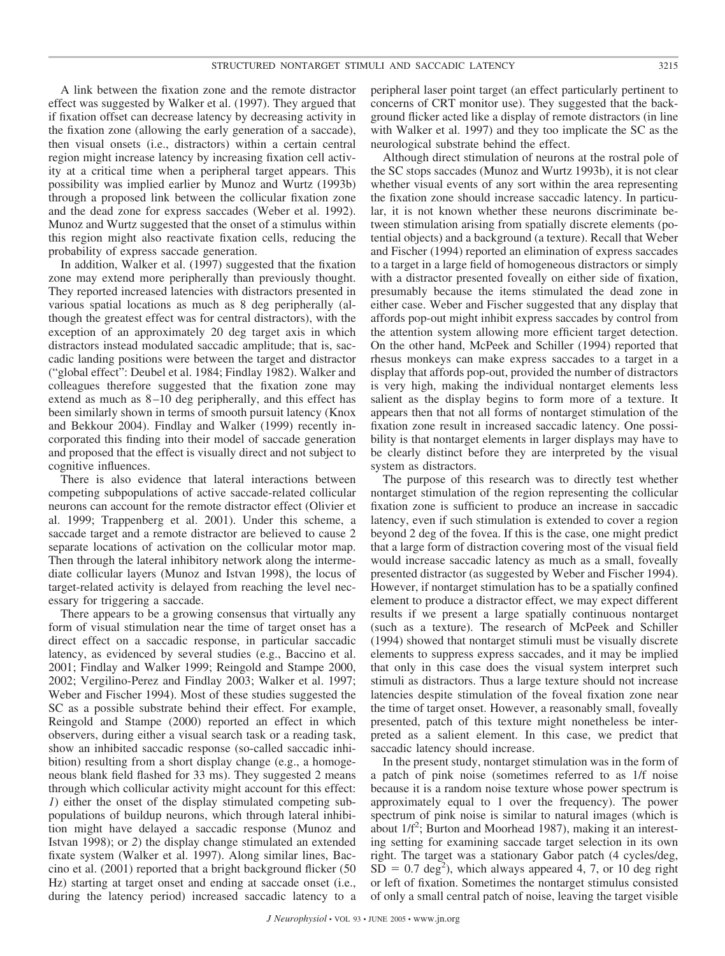A link between the fixation zone and the remote distractor effect was suggested by Walker et al. (1997). They argued that if fixation offset can decrease latency by decreasing activity in the fixation zone (allowing the early generation of a saccade), then visual onsets (i.e., distractors) within a certain central region might increase latency by increasing fixation cell activity at a critical time when a peripheral target appears. This possibility was implied earlier by Munoz and Wurtz (1993b) through a proposed link between the collicular fixation zone and the dead zone for express saccades (Weber et al. 1992). Munoz and Wurtz suggested that the onset of a stimulus within this region might also reactivate fixation cells, reducing the probability of express saccade generation.

In addition, Walker et al. (1997) suggested that the fixation zone may extend more peripherally than previously thought. They reported increased latencies with distractors presented in various spatial locations as much as 8 deg peripherally (although the greatest effect was for central distractors), with the exception of an approximately 20 deg target axis in which distractors instead modulated saccadic amplitude; that is, saccadic landing positions were between the target and distractor ("global effect": Deubel et al. 1984; Findlay 1982). Walker and colleagues therefore suggested that the fixation zone may extend as much as 8–10 deg peripherally, and this effect has been similarly shown in terms of smooth pursuit latency (Knox and Bekkour 2004). Findlay and Walker (1999) recently incorporated this finding into their model of saccade generation and proposed that the effect is visually direct and not subject to cognitive influences.

There is also evidence that lateral interactions between competing subpopulations of active saccade-related collicular neurons can account for the remote distractor effect (Olivier et al. 1999; Trappenberg et al. 2001). Under this scheme, a saccade target and a remote distractor are believed to cause 2 separate locations of activation on the collicular motor map. Then through the lateral inhibitory network along the intermediate collicular layers (Munoz and Istvan 1998), the locus of target-related activity is delayed from reaching the level necessary for triggering a saccade.

There appears to be a growing consensus that virtually any form of visual stimulation near the time of target onset has a direct effect on a saccadic response, in particular saccadic latency, as evidenced by several studies (e.g., Baccino et al. 2001; Findlay and Walker 1999; Reingold and Stampe 2000, 2002; Vergilino-Perez and Findlay 2003; Walker et al. 1997; Weber and Fischer 1994). Most of these studies suggested the SC as a possible substrate behind their effect. For example, Reingold and Stampe (2000) reported an effect in which observers, during either a visual search task or a reading task, show an inhibited saccadic response (so-called saccadic inhibition) resulting from a short display change (e.g., a homogeneous blank field flashed for 33 ms). They suggested 2 means through which collicular activity might account for this effect: *1*) either the onset of the display stimulated competing subpopulations of buildup neurons, which through lateral inhibition might have delayed a saccadic response (Munoz and Istvan 1998); or *2*) the display change stimulated an extended fixate system (Walker et al. 1997). Along similar lines, Baccino et al. (2001) reported that a bright background flicker (50 Hz) starting at target onset and ending at saccade onset (i.e., during the latency period) increased saccadic latency to a peripheral laser point target (an effect particularly pertinent to concerns of CRT monitor use). They suggested that the background flicker acted like a display of remote distractors (in line with Walker et al. 1997) and they too implicate the SC as the neurological substrate behind the effect.

Although direct stimulation of neurons at the rostral pole of the SC stops saccades (Munoz and Wurtz 1993b), it is not clear whether visual events of any sort within the area representing the fixation zone should increase saccadic latency. In particular, it is not known whether these neurons discriminate between stimulation arising from spatially discrete elements (potential objects) and a background (a texture). Recall that Weber and Fischer (1994) reported an elimination of express saccades to a target in a large field of homogeneous distractors or simply with a distractor presented foveally on either side of fixation, presumably because the items stimulated the dead zone in either case. Weber and Fischer suggested that any display that affords pop-out might inhibit express saccades by control from the attention system allowing more efficient target detection. On the other hand, McPeek and Schiller (1994) reported that rhesus monkeys can make express saccades to a target in a display that affords pop-out, provided the number of distractors is very high, making the individual nontarget elements less salient as the display begins to form more of a texture. It appears then that not all forms of nontarget stimulation of the fixation zone result in increased saccadic latency. One possibility is that nontarget elements in larger displays may have to be clearly distinct before they are interpreted by the visual system as distractors.

The purpose of this research was to directly test whether nontarget stimulation of the region representing the collicular fixation zone is sufficient to produce an increase in saccadic latency, even if such stimulation is extended to cover a region beyond 2 deg of the fovea. If this is the case, one might predict that a large form of distraction covering most of the visual field would increase saccadic latency as much as a small, foveally presented distractor (as suggested by Weber and Fischer 1994). However, if nontarget stimulation has to be a spatially confined element to produce a distractor effect, we may expect different results if we present a large spatially continuous nontarget (such as a texture). The research of McPeek and Schiller (1994) showed that nontarget stimuli must be visually discrete elements to suppress express saccades, and it may be implied that only in this case does the visual system interpret such stimuli as distractors. Thus a large texture should not increase latencies despite stimulation of the foveal fixation zone near the time of target onset. However, a reasonably small, foveally presented, patch of this texture might nonetheless be interpreted as a salient element. In this case, we predict that saccadic latency should increase.

In the present study, nontarget stimulation was in the form of a patch of pink noise (sometimes referred to as 1/f noise because it is a random noise texture whose power spectrum is approximately equal to 1 over the frequency). The power spectrum of pink noise is similar to natural images (which is about  $1/f^2$ ; Burton and Moorhead 1987), making it an interesting setting for examining saccade target selection in its own right. The target was a stationary Gabor patch (4 cycles/deg,  $S\bar{D} = 0.7 \text{ deg}^2$ , which always appeared 4, 7, or 10 deg right or left of fixation. Sometimes the nontarget stimulus consisted of only a small central patch of noise, leaving the target visible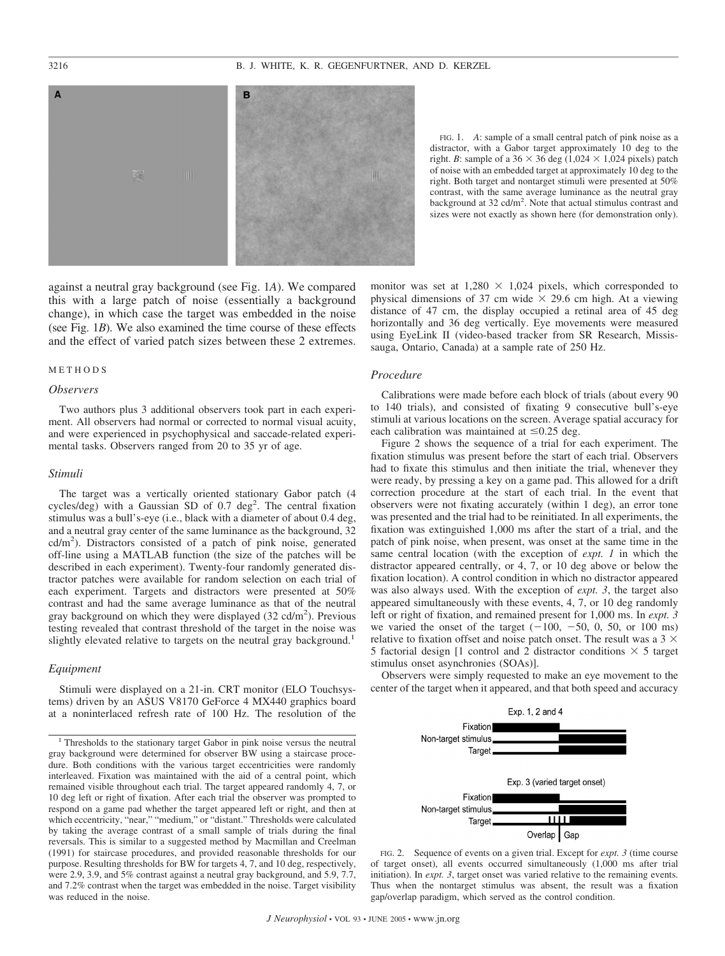

FIG. 1. *A*: sample of a small central patch of pink noise as a distractor, with a Gabor target approximately 10 deg to the right. *B*: sample of a  $36 \times 36$  deg  $(1,024 \times 1,024$  pixels) patch of noise with an embedded target at approximately 10 deg to the right. Both target and nontarget stimuli were presented at 50% contrast, with the same average luminance as the neutral gray background at 32 cd/m<sup>2</sup>. Note that actual stimulus contrast and sizes were not exactly as shown here (for demonstration only).

against a neutral gray background (see Fig. 1*A*). We compared this with a large patch of noise (essentially a background change), in which case the target was embedded in the noise (see Fig. 1*B*). We also examined the time course of these effects and the effect of varied patch sizes between these 2 extremes.

## METHODS

#### *Observers*

Two authors plus 3 additional observers took part in each experiment. All observers had normal or corrected to normal visual acuity, and were experienced in psychophysical and saccade-related experimental tasks. Observers ranged from 20 to 35 yr of age.

#### *Stimuli*

The target was a vertically oriented stationary Gabor patch (4 cycles/deg) with a Gaussian SD of 0.7 deg<sup>2</sup>. The central fixation stimulus was a bull's-eye (i.e., black with a diameter of about 0.4 deg, and a neutral gray center of the same luminance as the background, 32 cd/m2 ). Distractors consisted of a patch of pink noise, generated off-line using a MATLAB function (the size of the patches will be described in each experiment). Twenty-four randomly generated distractor patches were available for random selection on each trial of each experiment. Targets and distractors were presented at 50% contrast and had the same average luminance as that of the neutral gray background on which they were displayed (32 cd/m2 ). Previous testing revealed that contrast threshold of the target in the noise was slightly elevated relative to targets on the neutral gray background.<sup>1</sup>

## *Equipment*

Stimuli were displayed on a 21-in. CRT monitor (ELO Touchsystems) driven by an ASUS V8170 GeForce 4 MX440 graphics board at a noninterlaced refresh rate of 100 Hz. The resolution of the

<sup>1</sup> Thresholds to the stationary target Gabor in pink noise versus the neutral gray background were determined for observer BW using a staircase procedure. Both conditions with the various target eccentricities were randomly interleaved. Fixation was maintained with the aid of a central point, which remained visible throughout each trial. The target appeared randomly 4, 7, or 10 deg left or right of fixation. After each trial the observer was prompted to respond on a game pad whether the target appeared left or right, and then at which eccentricity, "near," "medium," or "distant." Thresholds were calculated by taking the average contrast of a small sample of trials during the final reversals. This is similar to a suggested method by Macmillan and Creelman (1991) for staircase procedures, and provided reasonable thresholds for our purpose. Resulting thresholds for BW for targets 4, 7, and 10 deg, respectively, were 2.9, 3.9, and 5% contrast against a neutral gray background, and 5.9, 7.7, and 7.2% contrast when the target was embedded in the noise. Target visibility was reduced in the noise.

monitor was set at  $1,280 \times 1,024$  pixels, which corresponded to physical dimensions of 37 cm wide  $\times$  29.6 cm high. At a viewing distance of 47 cm, the display occupied a retinal area of 45 deg horizontally and 36 deg vertically. Eye movements were measured using EyeLink II (video-based tracker from SR Research, Mississauga, Ontario, Canada) at a sample rate of 250 Hz.

#### *Procedure*

Calibrations were made before each block of trials (about every 90 to 140 trials), and consisted of fixating 9 consecutive bull's-eye stimuli at various locations on the screen. Average spatial accuracy for each calibration was maintained at  $\leq 0.25$  deg.

Figure 2 shows the sequence of a trial for each experiment. The fixation stimulus was present before the start of each trial. Observers had to fixate this stimulus and then initiate the trial, whenever they were ready, by pressing a key on a game pad. This allowed for a drift correction procedure at the start of each trial. In the event that observers were not fixating accurately (within 1 deg), an error tone was presented and the trial had to be reinitiated. In all experiments, the fixation was extinguished 1,000 ms after the start of a trial, and the patch of pink noise, when present, was onset at the same time in the same central location (with the exception of *expt. 1* in which the distractor appeared centrally, or 4, 7, or 10 deg above or below the fixation location). A control condition in which no distractor appeared was also always used. With the exception of *expt. 3*, the target also appeared simultaneously with these events, 4, 7, or 10 deg randomly left or right of fixation, and remained present for 1,000 ms. In *expt. 3* we varied the onset of the target  $(-100, -50, 0, 50, \text{ or } 100 \text{ ms})$ relative to fixation offset and noise patch onset. The result was a  $3 \times$ 5 factorial design [1 control and 2 distractor conditions  $\times$  5 target stimulus onset asynchronies (SOAs)].

Observers were simply requested to make an eye movement to the center of the target when it appeared, and that both speed and accuracy



FIG. 2. Sequence of events on a given trial. Except for *expt. 3* (time course of target onset), all events occurred simultaneously (1,000 ms after trial initiation). In *expt. 3*, target onset was varied relative to the remaining events. Thus when the nontarget stimulus was absent, the result was a fixation gap/overlap paradigm, which served as the control condition.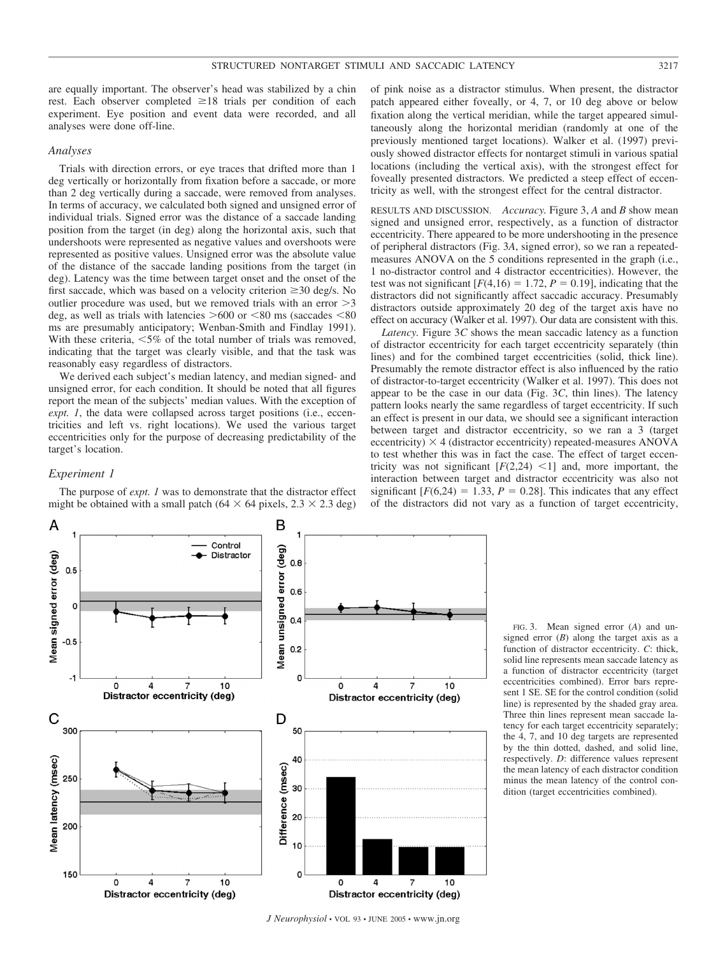are equally important. The observer's head was stabilized by a chin rest. Each observer completed  $\geq 18$  trials per condition of each experiment. Eye position and event data were recorded, and all analyses were done off-line.

## *Analyses*

Trials with direction errors, or eye traces that drifted more than 1 deg vertically or horizontally from fixation before a saccade, or more than 2 deg vertically during a saccade, were removed from analyses. In terms of accuracy, we calculated both signed and unsigned error of individual trials. Signed error was the distance of a saccade landing position from the target (in deg) along the horizontal axis, such that undershoots were represented as negative values and overshoots were represented as positive values. Unsigned error was the absolute value of the distance of the saccade landing positions from the target (in deg). Latency was the time between target onset and the onset of the first saccade, which was based on a velocity criterion  $\geq 30$  deg/s. No outlier procedure was used, but we removed trials with an error  $>3$ deg, as well as trials with latencies  $>600$  or  $< 80$  ms (saccades  $< 80$ ) ms are presumably anticipatory; Wenban-Smith and Findlay 1991). With these criteria,  $\leq 5\%$  of the total number of trials was removed, indicating that the target was clearly visible, and that the task was reasonably easy regardless of distractors.

We derived each subject's median latency, and median signed- and unsigned error, for each condition. It should be noted that all figures report the mean of the subjects' median values. With the exception of *expt. 1*, the data were collapsed across target positions (i.e., eccentricities and left vs. right locations). We used the various target eccentricities only for the purpose of decreasing predictability of the target's location.

#### *Experiment 1*

The purpose of *expt. 1* was to demonstrate that the distractor effect might be obtained with a small patch (64  $\times$  64 pixels, 2.3  $\times$  2.3 deg)

of pink noise as a distractor stimulus. When present, the distractor patch appeared either foveally, or 4, 7, or 10 deg above or below fixation along the vertical meridian, while the target appeared simultaneously along the horizontal meridian (randomly at one of the previously mentioned target locations). Walker et al. (1997) previously showed distractor effects for nontarget stimuli in various spatial locations (including the vertical axis), with the strongest effect for foveally presented distractors. We predicted a steep effect of eccentricity as well, with the strongest effect for the central distractor.

RESULTS AND DISCUSSION. *Accuracy.* Figure 3, *A* and *B* show mean signed and unsigned error, respectively, as a function of distractor eccentricity. There appeared to be more undershooting in the presence of peripheral distractors (Fig. 3*A*, signed error), so we ran a repeatedmeasures ANOVA on the 5 conditions represented in the graph (i.e., 1 no-distractor control and 4 distractor eccentricities). However, the test was not significant  $[F(4,16) = 1.72, P = 0.19]$ , indicating that the distractors did not significantly affect saccadic accuracy. Presumably distractors outside approximately 20 deg of the target axis have no effect on accuracy (Walker et al. 1997). Our data are consistent with this.

*Latency.* Figure 3*C* shows the mean saccadic latency as a function of distractor eccentricity for each target eccentricity separately (thin lines) and for the combined target eccentricities (solid, thick line). Presumably the remote distractor effect is also influenced by the ratio of distractor-to-target eccentricity (Walker et al. 1997). This does not appear to be the case in our data (Fig. 3*C*, thin lines). The latency pattern looks nearly the same regardless of target eccentricity. If such an effect is present in our data, we should see a significant interaction between target and distractor eccentricity, so we ran a 3 (target eccentricity)  $\times$  4 (distractor eccentricity) repeated-measures ANOVA to test whether this was in fact the case. The effect of target eccentricity was not significant  $[F(2,24)$  <1] and, more important, the interaction between target and distractor eccentricity was also not significant  $[F(6,24) = 1.33, P = 0.28]$ . This indicates that any effect of the distractors did not vary as a function of target eccentricity,



FIG. 3. Mean signed error (*A*) and unsigned error  $(B)$  along the target axis as a function of distractor eccentricity. *C*: thick, solid line represents mean saccade latency as a function of distractor eccentricity (target eccentricities combined). Error bars represent 1 SE. SE for the control condition (solid line) is represented by the shaded gray area. Three thin lines represent mean saccade latency for each target eccentricity separately; the 4, 7, and 10 deg targets are represented by the thin dotted, dashed, and solid line, respectively. *D*: difference values represent the mean latency of each distractor condition minus the mean latency of the control condition (target eccentricities combined).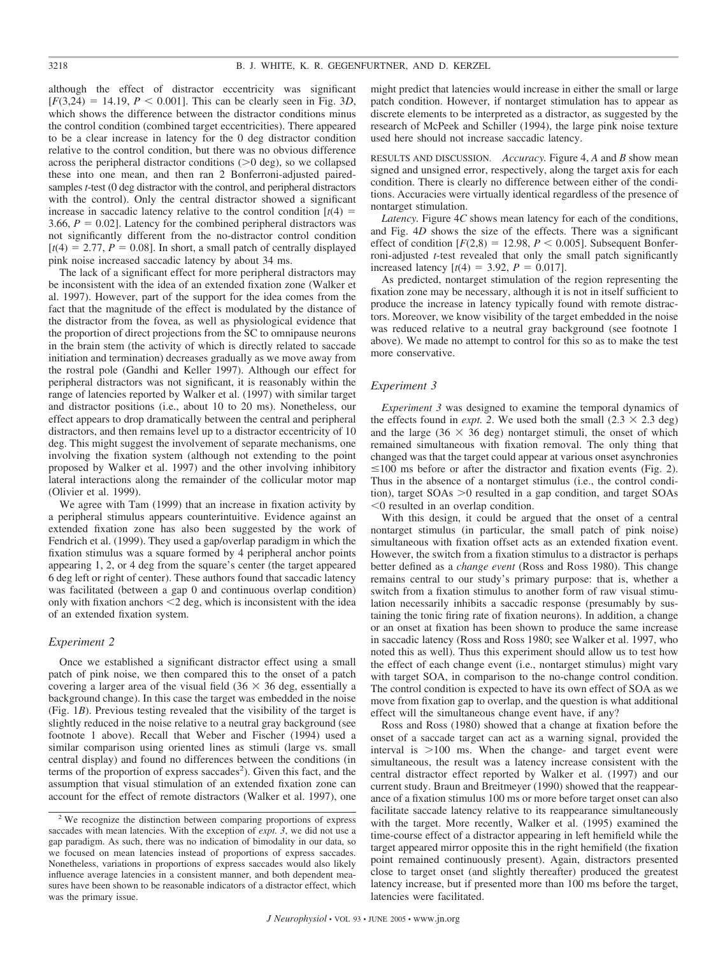although the effect of distractor eccentricity was significant  $[F(3,24) = 14.19, P < 0.001]$ . This can be clearly seen in Fig. 3*D*, which shows the difference between the distractor conditions minus the control condition (combined target eccentricities). There appeared to be a clear increase in latency for the 0 deg distractor condition relative to the control condition, but there was no obvious difference across the peripheral distractor conditions  $(0.0 \text{ deg})$ , so we collapsed these into one mean, and then ran 2 Bonferroni-adjusted pairedsamples *t*-test (0 deg distractor with the control, and peripheral distractors with the control). Only the central distractor showed a significant increase in saccadic latency relative to the control condition  $[t(4) =$ 3.66,  $P = 0.02$ ]. Latency for the combined peripheral distractors was not significantly different from the no-distractor control condition  $[t(4) = 2.77, P = 0.08]$ . In short, a small patch of centrally displayed pink noise increased saccadic latency by about 34 ms.

The lack of a significant effect for more peripheral distractors may be inconsistent with the idea of an extended fixation zone (Walker et al. 1997). However, part of the support for the idea comes from the fact that the magnitude of the effect is modulated by the distance of the distractor from the fovea, as well as physiological evidence that the proportion of direct projections from the SC to omnipause neurons in the brain stem (the activity of which is directly related to saccade initiation and termination) decreases gradually as we move away from the rostral pole (Gandhi and Keller 1997). Although our effect for peripheral distractors was not significant, it is reasonably within the range of latencies reported by Walker et al. (1997) with similar target and distractor positions (i.e., about 10 to 20 ms). Nonetheless, our effect appears to drop dramatically between the central and peripheral distractors, and then remains level up to a distractor eccentricity of 10 deg. This might suggest the involvement of separate mechanisms, one involving the fixation system (although not extending to the point proposed by Walker et al. 1997) and the other involving inhibitory lateral interactions along the remainder of the collicular motor map (Olivier et al. 1999).

We agree with Tam (1999) that an increase in fixation activity by a peripheral stimulus appears counterintuitive. Evidence against an extended fixation zone has also been suggested by the work of Fendrich et al. (1999). They used a gap/overlap paradigm in which the fixation stimulus was a square formed by 4 peripheral anchor points appearing 1, 2, or 4 deg from the square's center (the target appeared 6 deg left or right of center). These authors found that saccadic latency was facilitated (between a gap 0 and continuous overlap condition) only with fixation anchors  $\leq$  2 deg, which is inconsistent with the idea of an extended fixation system.

## *Experiment 2*

Once we established a significant distractor effect using a small patch of pink noise, we then compared this to the onset of a patch covering a larger area of the visual field  $(36 \times 36$  deg, essentially a background change). In this case the target was embedded in the noise (Fig. 1*B*). Previous testing revealed that the visibility of the target is slightly reduced in the noise relative to a neutral gray background (see footnote 1 above). Recall that Weber and Fischer (1994) used a similar comparison using oriented lines as stimuli (large vs. small central display) and found no differences between the conditions (in terms of the proportion of express saccades<sup>2</sup>). Given this fact, and the assumption that visual stimulation of an extended fixation zone can account for the effect of remote distractors (Walker et al. 1997), one might predict that latencies would increase in either the small or large patch condition. However, if nontarget stimulation has to appear as discrete elements to be interpreted as a distractor, as suggested by the research of McPeek and Schiller (1994), the large pink noise texture used here should not increase saccadic latency.

RESULTS AND DISCUSSION. *Accuracy.* Figure 4, *A* and *B* show mean signed and unsigned error, respectively, along the target axis for each condition. There is clearly no difference between either of the conditions. Accuracies were virtually identical regardless of the presence of nontarget stimulation.

*Latency.* Figure 4*C* shows mean latency for each of the conditions, and Fig. 4*D* shows the size of the effects. There was a significant effect of condition  $[F(2,8) = 12.98, P \le 0.005]$ . Subsequent Bonferroni-adjusted *t*-test revealed that only the small patch significantly increased latency  $[t(4) = 3.92, P = 0.017]$ .

As predicted, nontarget stimulation of the region representing the fixation zone may be necessary, although it is not in itself sufficient to produce the increase in latency typically found with remote distractors. Moreover, we know visibility of the target embedded in the noise was reduced relative to a neutral gray background (see footnote 1 above). We made no attempt to control for this so as to make the test more conservative.

## *Experiment 3*

*Experiment 3* was designed to examine the temporal dynamics of the effects found in *expt.* 2. We used both the small  $(2.3 \times 2.3 \text{ deg})$ and the large ( $36 \times 36$  deg) nontarget stimuli, the onset of which remained simultaneous with fixation removal. The only thing that changed was that the target could appear at various onset asynchronies  $\leq$ 100 ms before or after the distractor and fixation events (Fig. 2). Thus in the absence of a nontarget stimulus (i.e., the control condition), target  $SOAs > 0$  resulted in a gap condition, and target  $SOAs$  $0$  resulted in an overlap condition.

With this design, it could be argued that the onset of a central nontarget stimulus (in particular, the small patch of pink noise) simultaneous with fixation offset acts as an extended fixation event. However, the switch from a fixation stimulus to a distractor is perhaps better defined as a *change event* (Ross and Ross 1980). This change remains central to our study's primary purpose: that is, whether a switch from a fixation stimulus to another form of raw visual stimulation necessarily inhibits a saccadic response (presumably by sustaining the tonic firing rate of fixation neurons). In addition, a change or an onset at fixation has been shown to produce the same increase in saccadic latency (Ross and Ross 1980; see Walker et al. 1997, who noted this as well). Thus this experiment should allow us to test how the effect of each change event (i.e., nontarget stimulus) might vary with target SOA, in comparison to the no-change control condition. The control condition is expected to have its own effect of SOA as we move from fixation gap to overlap, and the question is what additional effect will the simultaneous change event have, if any?

Ross and Ross (1980) showed that a change at fixation before the onset of a saccade target can act as a warning signal, provided the interval is  $>100$  ms. When the change- and target event were simultaneous, the result was a latency increase consistent with the central distractor effect reported by Walker et al. (1997) and our current study. Braun and Breitmeyer (1990) showed that the reappearance of a fixation stimulus 100 ms or more before target onset can also facilitate saccade latency relative to its reappearance simultaneously with the target. More recently, Walker et al. (1995) examined the time-course effect of a distractor appearing in left hemifield while the target appeared mirror opposite this in the right hemifield (the fixation point remained continuously present). Again, distractors presented close to target onset (and slightly thereafter) produced the greatest latency increase, but if presented more than 100 ms before the target, latencies were facilitated.

<sup>&</sup>lt;sup>2</sup> We recognize the distinction between comparing proportions of express saccades with mean latencies. With the exception of *expt. 3*, we did not use a gap paradigm. As such, there was no indication of bimodality in our data, so we focused on mean latencies instead of proportions of express saccades. Nonetheless, variations in proportions of express saccades would also likely influence average latencies in a consistent manner, and both dependent measures have been shown to be reasonable indicators of a distractor effect, which was the primary issue.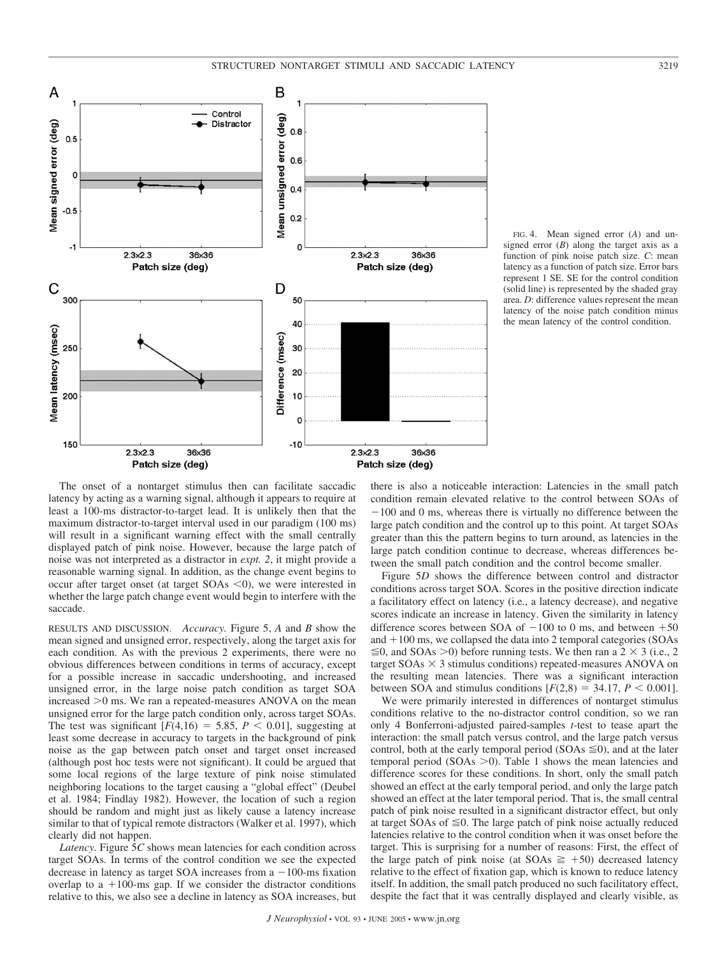

FIG. 4. Mean signed error (*A*) and unsigned error  $(B)$  along the target axis as a function of pink noise patch size. *C*: mean latency as a function of patch size. Error bars represent 1 SE. SE for the control condition (solid line) is represented by the shaded gray area. *D*: difference values represent the mean latency of the noise patch condition minus the mean latency of the control condition.

The onset of a nontarget stimulus then can facilitate saccadic latency by acting as a warning signal, although it appears to require at least a 100-ms distractor-to-target lead. It is unlikely then that the maximum distractor-to-target interval used in our paradigm (100 ms) will result in a significant warning effect with the small centrally displayed patch of pink noise. However, because the large patch of noise was not interpreted as a distractor in *expt. 2*, it might provide a reasonable warning signal. In addition, as the change event begins to occur after target onset (at target  $SOAs \le 0$ ), we were interested in whether the large patch change event would begin to interfere with the saccade.

RESULTS AND DISCUSSION. *Accuracy.* Figure 5, *A* and *B* show the mean signed and unsigned error, respectively, along the target axis for each condition. As with the previous 2 experiments, there were no obvious differences between conditions in terms of accuracy, except for a possible increase in saccadic undershooting, and increased unsigned error, in the large noise patch condition as target SOA increased  $>0$  ms. We ran a repeated-measures ANOVA on the mean unsigned error for the large patch condition only, across target SOAs. The test was significant  $[F(4,16) = 5.85, P < 0.01]$ , suggesting at least some decrease in accuracy to targets in the background of pink noise as the gap between patch onset and target onset increased (although post hoc tests were not significant). It could be argued that some local regions of the large texture of pink noise stimulated neighboring locations to the target causing a "global effect" (Deubel et al. 1984; Findlay 1982). However, the location of such a region should be random and might just as likely cause a latency increase similar to that of typical remote distractors (Walker et al. 1997), which clearly did not happen.

*Latency.* Figure 5*C* shows mean latencies for each condition across target SOAs. In terms of the control condition we see the expected decrease in latency as target SOA increases from  $a - 100$ -ms fixation overlap to a  $+100$ -ms gap. If we consider the distractor conditions relative to this, we also see a decline in latency as SOA increases, but there is also a noticeable interaction: Latencies in the small patch condition remain elevated relative to the control between SOAs of  $-100$  and 0 ms, whereas there is virtually no difference between the large patch condition and the control up to this point. At target SOAs greater than this the pattern begins to turn around, as latencies in the large patch condition continue to decrease, whereas differences between the small patch condition and the control become smaller.

Figure 5*D* shows the difference between control and distractor conditions across target SOA. Scores in the positive direction indicate a facilitatory effect on latency (i.e., a latency decrease), and negative scores indicate an increase in latency. Given the similarity in latency difference scores between SOA of  $-100$  to 0 ms, and between  $+50$ and  $+100$  ms, we collapsed the data into 2 temporal categories (SOAs  $\leq 0$ , and SOAs  $> 0$ ) before running tests. We then ran a 2  $\times$  3 (i.e., 2 target  $SOAs \times 3$  stimulus conditions) repeated-measures ANOVA on the resulting mean latencies. There was a significant interaction between SOA and stimulus conditions  $[F(2,8) = 34.17, P \le 0.001]$ .

We were primarily interested in differences of nontarget stimulus conditions relative to the no-distractor control condition, so we ran only 4 Bonferroni-adjusted paired-samples *t*-test to tease apart the interaction: the small patch versus control, and the large patch versus control, both at the early temporal period (SOAs  $\leq 0$ ), and at the later temporal period ( $SOAs > 0$ ). Table 1 shows the mean latencies and difference scores for these conditions. In short, only the small patch showed an effect at the early temporal period, and only the large patch showed an effect at the later temporal period. That is, the small central patch of pink noise resulted in a significant distractor effect, but only at target SOAs of  $\leq 0$ . The large patch of pink noise actually reduced latencies relative to the control condition when it was onset before the target. This is surprising for a number of reasons: First, the effect of the large patch of pink noise (at SOAs  $\geq$  +50) decreased latency relative to the effect of fixation gap, which is known to reduce latency itself. In addition, the small patch produced no such facilitatory effect, despite the fact that it was centrally displayed and clearly visible, as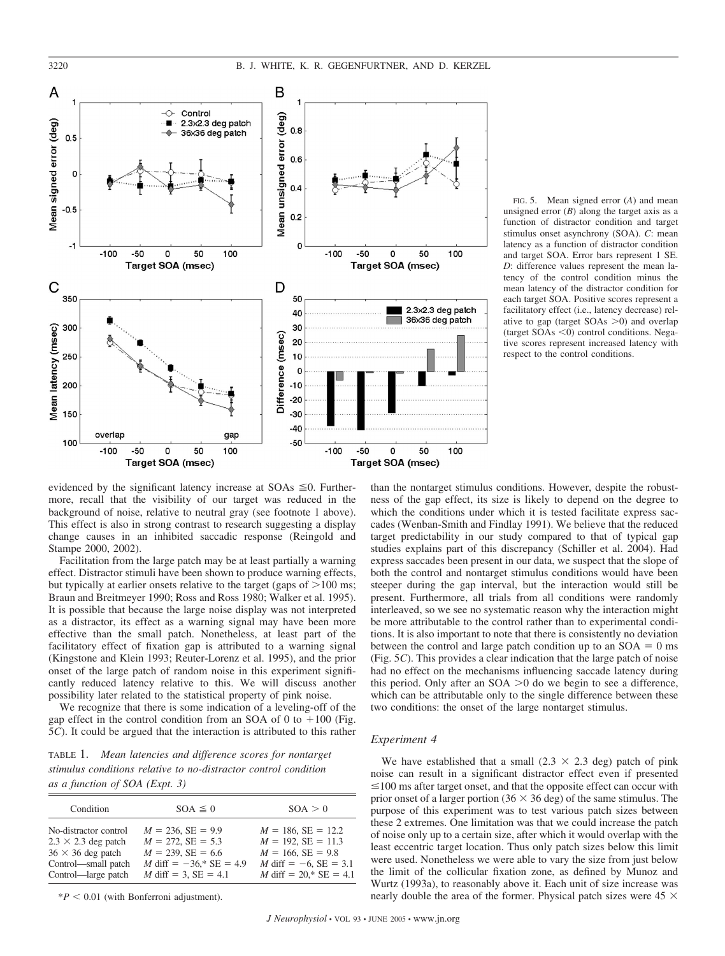

FIG. 5. Mean signed error (*A*) and mean unsigned error  $(B)$  along the target axis as a function of distractor condition and target stimulus onset asynchrony (SOA). *C*: mean latency as a function of distractor condition and target SOA. Error bars represent 1 SE. *D*: difference values represent the mean latency of the control condition minus the mean latency of the distractor condition for each target SOA. Positive scores represent a facilitatory effect (i.e., latency decrease) relative to gap (target  $SOAs > 0$ ) and overlap (target  $SOAs \le 0$ ) control conditions. Negative scores represent increased latency with respect to the control conditions.

evidenced by the significant latency increase at  $SOAs \leq 0$ . Furthermore, recall that the visibility of our target was reduced in the background of noise, relative to neutral gray (see footnote 1 above). This effect is also in strong contrast to research suggesting a display change causes in an inhibited saccadic response (Reingold and Stampe 2000, 2002).

Facilitation from the large patch may be at least partially a warning effect. Distractor stimuli have been shown to produce warning effects, but typically at earlier onsets relative to the target (gaps of  $>100$  ms; Braun and Breitmeyer 1990; Ross and Ross 1980; Walker et al. 1995). It is possible that because the large noise display was not interpreted as a distractor, its effect as a warning signal may have been more effective than the small patch. Nonetheless, at least part of the facilitatory effect of fixation gap is attributed to a warning signal (Kingstone and Klein 1993; Reuter-Lorenz et al. 1995), and the prior onset of the large patch of random noise in this experiment significantly reduced latency relative to this. We will discuss another possibility later related to the statistical property of pink noise.

We recognize that there is some indication of a leveling-off of the gap effect in the control condition from an SOA of 0 to  $+100$  (Fig. 5*C*). It could be argued that the interaction is attributed to this rather

TABLE 1. *Mean latencies and difference scores for nontarget stimulus conditions relative to no-distractor control condition as a function of SOA (Expt. 3)*

| Condition                  | $SOA \leq 0$                  | SOA > 0                   |
|----------------------------|-------------------------------|---------------------------|
| No-distractor control      | $M = 236$ , SE = 9.9          | $M = 186$ , SE = 12.2     |
| $2.3 \times 2.3$ deg patch | $M = 272$ , SE = 5.3          | $M = 192$ , SE = 11.3     |
| $36 \times 36$ deg patch   | $M = 239$ , SE = 6.6          | $M = 166$ , SE = 9.8      |
| Control—small patch        | M diff = $-36$ ,* SE = 4.9    | M diff = $-6$ , SE = 3.1  |
| Control—large patch        | <i>M</i> diff = 3, $SE = 4.1$ | M diff = $20$ ,* SE = 4.1 |

 $*P < 0.01$  (with Bonferroni adjustment).

than the nontarget stimulus conditions. However, despite the robustness of the gap effect, its size is likely to depend on the degree to which the conditions under which it is tested facilitate express saccades (Wenban-Smith and Findlay 1991). We believe that the reduced target predictability in our study compared to that of typical gap studies explains part of this discrepancy (Schiller et al. 2004). Had express saccades been present in our data, we suspect that the slope of both the control and nontarget stimulus conditions would have been steeper during the gap interval, but the interaction would still be present. Furthermore, all trials from all conditions were randomly interleaved, so we see no systematic reason why the interaction might be more attributable to the control rather than to experimental conditions. It is also important to note that there is consistently no deviation between the control and large patch condition up to an  $SOA = 0$  ms (Fig. 5*C*). This provides a clear indication that the large patch of noise had no effect on the mechanisms influencing saccade latency during this period. Only after an  $SOA > 0$  do we begin to see a difference, which can be attributable only to the single difference between these two conditions: the onset of the large nontarget stimulus.

## *Experiment 4*

We have established that a small  $(2.3 \times 2.3$  deg) patch of pink noise can result in a significant distractor effect even if presented  $\leq 100$  ms after target onset, and that the opposite effect can occur with prior onset of a larger portion (36  $\times$  36 deg) of the same stimulus. The purpose of this experiment was to test various patch sizes between these 2 extremes. One limitation was that we could increase the patch of noise only up to a certain size, after which it would overlap with the least eccentric target location. Thus only patch sizes below this limit were used. Nonetheless we were able to vary the size from just below the limit of the collicular fixation zone, as defined by Munoz and Wurtz (1993a), to reasonably above it. Each unit of size increase was nearly double the area of the former. Physical patch sizes were  $45 \times$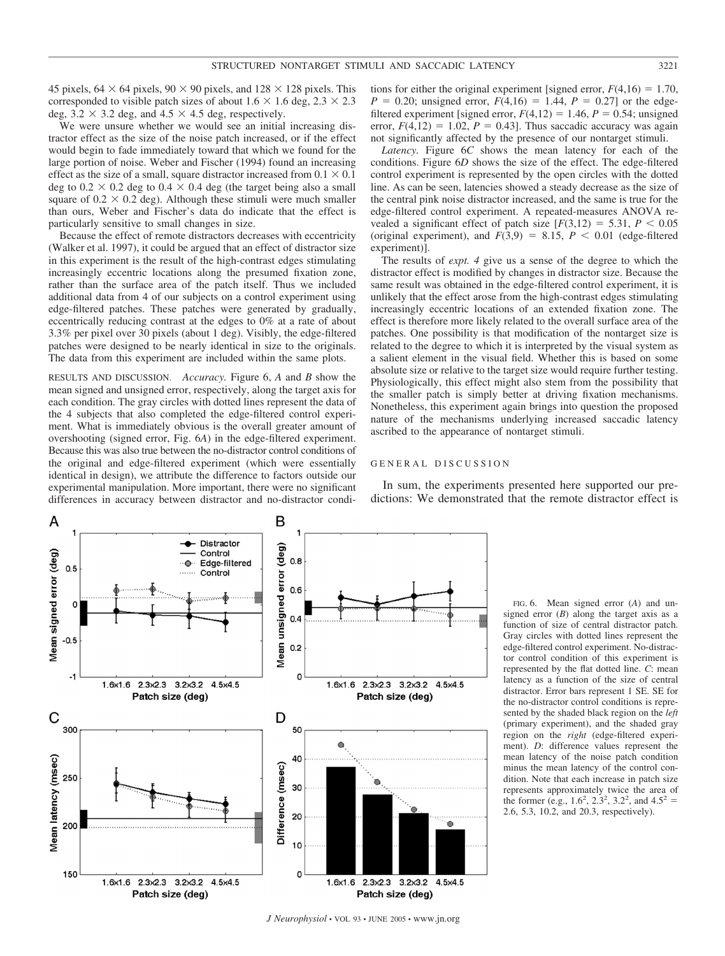45 pixels,  $64 \times 64$  pixels,  $90 \times 90$  pixels, and  $128 \times 128$  pixels. This corresponded to visible patch sizes of about  $1.6 \times 1.6$  deg,  $2.3 \times 2.3$ deg,  $3.2 \times 3.2$  deg, and  $4.5 \times 4.5$  deg, respectively.

We were unsure whether we would see an initial increasing distractor effect as the size of the noise patch increased, or if the effect would begin to fade immediately toward that which we found for the large portion of noise. Weber and Fischer (1994) found an increasing effect as the size of a small, square distractor increased from  $0.1 \times 0.1$ deg to  $0.2 \times 0.2$  deg to  $0.4 \times 0.4$  deg (the target being also a small square of  $0.2 \times 0.2$  deg). Although these stimuli were much smaller than ours, Weber and Fischer's data do indicate that the effect is particularly sensitive to small changes in size.

Because the effect of remote distractors decreases with eccentricity (Walker et al. 1997), it could be argued that an effect of distractor size in this experiment is the result of the high-contrast edges stimulating increasingly eccentric locations along the presumed fixation zone, rather than the surface area of the patch itself. Thus we included additional data from 4 of our subjects on a control experiment using edge-filtered patches. These patches were generated by gradually, eccentrically reducing contrast at the edges to 0% at a rate of about 3.3% per pixel over 30 pixels (about 1 deg). Visibly, the edge-filtered patches were designed to be nearly identical in size to the originals. The data from this experiment are included within the same plots.

RESULTS AND DISCUSSION. *Accuracy.* Figure 6, *A* and *B* show the mean signed and unsigned error, respectively, along the target axis for each condition. The gray circles with dotted lines represent the data of the 4 subjects that also completed the edge-filtered control experiment. What is immediately obvious is the overall greater amount of overshooting (signed error, Fig. 6*A*) in the edge-filtered experiment. Because this was also true between the no-distractor control conditions of the original and edge-filtered experiment (which were essentially identical in design), we attribute the difference to factors outside our experimental manipulation. More important, there were no significant differences in accuracy between distractor and no-distractor condi-

tions for either the original experiment [signed error,  $F(4,16) = 1.70$ ,  $P = 0.20$ ; unsigned error,  $F(4,16) = 1.44$ ,  $P = 0.27$  or the edgefiltered experiment [signed error,  $F(4,12) = 1.46$ ,  $P = 0.54$ ; unsigned error,  $F(4,12) = 1.02$ ,  $P = 0.43$ ]. Thus saccadic accuracy was again not significantly affected by the presence of our nontarget stimuli.

*Latency.* Figure 6*C* shows the mean latency for each of the conditions. Figure 6*D* shows the size of the effect. The edge-filtered control experiment is represented by the open circles with the dotted line. As can be seen, latencies showed a steady decrease as the size of the central pink noise distractor increased, and the same is true for the edge-filtered control experiment. A repeated-measures ANOVA revealed a significant effect of patch size  $[F(3,12) = 5.31, P \le 0.05$ (original experiment), and  $F(3,9) = 8.15$ ,  $P < 0.01$  (edge-filtered experiment)].

The results of *expt. 4* give us a sense of the degree to which the distractor effect is modified by changes in distractor size. Because the same result was obtained in the edge-filtered control experiment, it is unlikely that the effect arose from the high-contrast edges stimulating increasingly eccentric locations of an extended fixation zone. The effect is therefore more likely related to the overall surface area of the patches. One possibility is that modification of the nontarget size is related to the degree to which it is interpreted by the visual system as a salient element in the visual field. Whether this is based on some absolute size or relative to the target size would require further testing. Physiologically, this effect might also stem from the possibility that the smaller patch is simply better at driving fixation mechanisms. Nonetheless, this experiment again brings into question the proposed nature of the mechanisms underlying increased saccadic latency ascribed to the appearance of nontarget stimuli.

#### GENERAL DISCUSSION

In sum, the experiments presented here supported our predictions: We demonstrated that the remote distractor effect is



FIG. 6. Mean signed error (*A*) and unsigned error (*B*) along the target axis as a function of size of central distractor patch. Gray circles with dotted lines represent the edge-filtered control experiment. No-distractor control condition of this experiment is represented by the flat dotted line. *C*: mean latency as a function of the size of central distractor. Error bars represent 1 SE. SE for the no-distractor control conditions is represented by the shaded black region on the *left* (primary experiment), and the shaded gray region on the *right* (edge-filtered experiment). *D*: difference values represent the mean latency of the noise patch condition minus the mean latency of the control condition. Note that each increase in patch size represents approximately twice the area of the former (e.g.,  $1.6^2$ ,  $2.3^2$ ,  $3.2^2$ , and  $4.5^2$  = 2.6, 5.3, 10.2, and 20.3, respectively).

*J Neurophysiol* • VOL 93 • JUNE 2005 • www.jn.org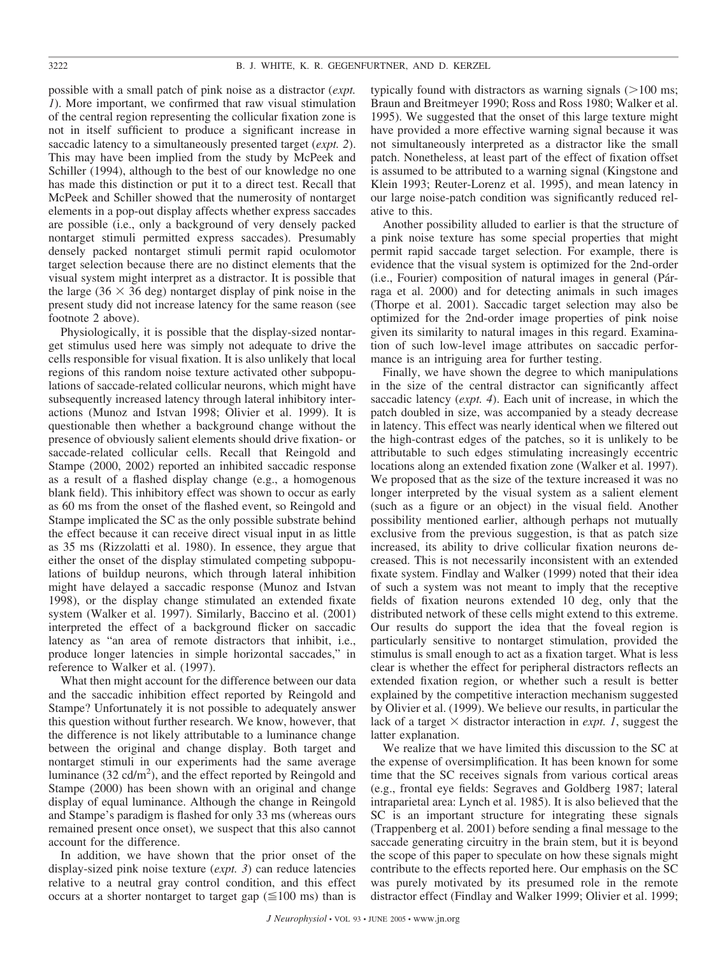possible with a small patch of pink noise as a distractor (*expt. 1*). More important, we confirmed that raw visual stimulation of the central region representing the collicular fixation zone is not in itself sufficient to produce a significant increase in saccadic latency to a simultaneously presented target (*expt. 2*). This may have been implied from the study by McPeek and Schiller (1994), although to the best of our knowledge no one has made this distinction or put it to a direct test. Recall that McPeek and Schiller showed that the numerosity of nontarget elements in a pop-out display affects whether express saccades are possible (i.e., only a background of very densely packed nontarget stimuli permitted express saccades). Presumably densely packed nontarget stimuli permit rapid oculomotor target selection because there are no distinct elements that the visual system might interpret as a distractor. It is possible that the large (36  $\times$  36 deg) nontarget display of pink noise in the present study did not increase latency for the same reason (see footnote 2 above).

Physiologically, it is possible that the display-sized nontarget stimulus used here was simply not adequate to drive the cells responsible for visual fixation. It is also unlikely that local regions of this random noise texture activated other subpopulations of saccade-related collicular neurons, which might have subsequently increased latency through lateral inhibitory interactions (Munoz and Istvan 1998; Olivier et al. 1999). It is questionable then whether a background change without the presence of obviously salient elements should drive fixation- or saccade-related collicular cells. Recall that Reingold and Stampe (2000, 2002) reported an inhibited saccadic response as a result of a flashed display change (e.g., a homogenous blank field). This inhibitory effect was shown to occur as early as 60 ms from the onset of the flashed event, so Reingold and Stampe implicated the SC as the only possible substrate behind the effect because it can receive direct visual input in as little as 35 ms (Rizzolatti et al. 1980). In essence, they argue that either the onset of the display stimulated competing subpopulations of buildup neurons, which through lateral inhibition might have delayed a saccadic response (Munoz and Istvan 1998), or the display change stimulated an extended fixate system (Walker et al. 1997). Similarly, Baccino et al. (2001) interpreted the effect of a background flicker on saccadic latency as "an area of remote distractors that inhibit, i.e., produce longer latencies in simple horizontal saccades," in reference to Walker et al. (1997).

What then might account for the difference between our data and the saccadic inhibition effect reported by Reingold and Stampe? Unfortunately it is not possible to adequately answer this question without further research. We know, however, that the difference is not likely attributable to a luminance change between the original and change display. Both target and nontarget stimuli in our experiments had the same average luminance  $(32 \text{ cd/m}^2)$ , and the effect reported by Reingold and Stampe (2000) has been shown with an original and change display of equal luminance. Although the change in Reingold and Stampe's paradigm is flashed for only 33 ms (whereas ours remained present once onset), we suspect that this also cannot account for the difference.

In addition, we have shown that the prior onset of the display-sized pink noise texture (*expt. 3*) can reduce latencies relative to a neutral gray control condition, and this effect occurs at a shorter nontarget to target gap  $(\leq 100 \text{ ms})$  than is typically found with distractors as warning signals  $(>100 \text{ ms})$ ; Braun and Breitmeyer 1990; Ross and Ross 1980; Walker et al. 1995). We suggested that the onset of this large texture might have provided a more effective warning signal because it was not simultaneously interpreted as a distractor like the small patch. Nonetheless, at least part of the effect of fixation offset is assumed to be attributed to a warning signal (Kingstone and Klein 1993; Reuter-Lorenz et al. 1995), and mean latency in our large noise-patch condition was significantly reduced relative to this.

Another possibility alluded to earlier is that the structure of a pink noise texture has some special properties that might permit rapid saccade target selection. For example, there is evidence that the visual system is optimized for the 2nd-order (i.e., Fourier) composition of natural images in general (Párraga et al. 2000) and for detecting animals in such images (Thorpe et al. 2001). Saccadic target selection may also be optimized for the 2nd-order image properties of pink noise given its similarity to natural images in this regard. Examination of such low-level image attributes on saccadic performance is an intriguing area for further testing.

Finally, we have shown the degree to which manipulations in the size of the central distractor can significantly affect saccadic latency (*expt. 4*). Each unit of increase, in which the patch doubled in size, was accompanied by a steady decrease in latency. This effect was nearly identical when we filtered out the high-contrast edges of the patches, so it is unlikely to be attributable to such edges stimulating increasingly eccentric locations along an extended fixation zone (Walker et al. 1997). We proposed that as the size of the texture increased it was no longer interpreted by the visual system as a salient element (such as a figure or an object) in the visual field. Another possibility mentioned earlier, although perhaps not mutually exclusive from the previous suggestion, is that as patch size increased, its ability to drive collicular fixation neurons decreased. This is not necessarily inconsistent with an extended fixate system. Findlay and Walker (1999) noted that their idea of such a system was not meant to imply that the receptive fields of fixation neurons extended 10 deg, only that the distributed network of these cells might extend to this extreme. Our results do support the idea that the foveal region is particularly sensitive to nontarget stimulation, provided the stimulus is small enough to act as a fixation target. What is less clear is whether the effect for peripheral distractors reflects an extended fixation region, or whether such a result is better explained by the competitive interaction mechanism suggested by Olivier et al. (1999). We believe our results, in particular the lack of a target  $\times$  distractor interaction in *expt. 1*, suggest the latter explanation.

We realize that we have limited this discussion to the SC at the expense of oversimplification. It has been known for some time that the SC receives signals from various cortical areas (e.g., frontal eye fields: Segraves and Goldberg 1987; lateral intraparietal area: Lynch et al. 1985). It is also believed that the SC is an important structure for integrating these signals (Trappenberg et al. 2001) before sending a final message to the saccade generating circuitry in the brain stem, but it is beyond the scope of this paper to speculate on how these signals might contribute to the effects reported here. Our emphasis on the SC was purely motivated by its presumed role in the remote distractor effect (Findlay and Walker 1999; Olivier et al. 1999;